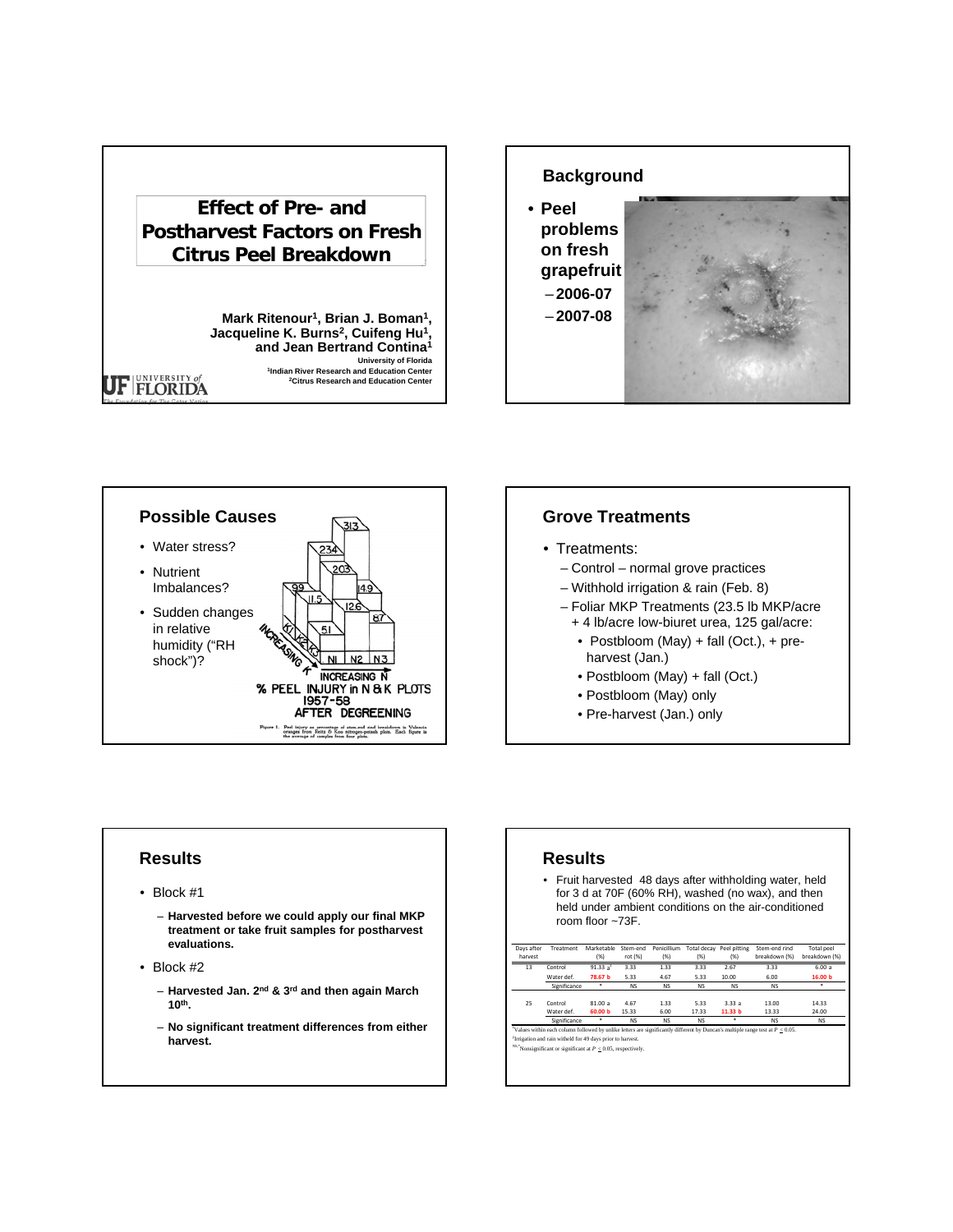# **Effect of Pre- and Postharvest Factors on Fresh Citrus Peel Breakdown**

**Mark Ritenour1, Brian J. Boman1,**  Jacqueline K. Burns<sup>2</sup>, Cuifeng Hu<sup>1</sup>, **and Jean Bertrand Contina1 University of Florida 1Indian River Research and Education Center 2Citrus Research and Education Center** 





## **Grove Treatments**

- Treatments:
	- Control normal grove practices
	- Withhold irrigation & rain (Feb. 8)
	- Foliar MKP Treatments (23.5 lb MKP/acre
		- + 4 lb/acre low-biuret urea, 125 gal/acre:
		- Postbloom (May) + fall (Oct.), + preharvest (Jan.)
		- Postbloom (May) + fall (Oct.)
		- Postbloom (May) only
		- Pre-harvest (Jan.) only

## **Results**

UF FLORIDA

- Block #1
	- **Harvested before we could apply our final MKP treatment or take fruit samples for postharvest evaluations.**
- Block #2
	- **Harvested Jan. 2nd & 3rd and then again March 10th.**
	- **No significant treatment differences from either harvest.**

## **Results**

• Fruit harvested 48 days after withholding water, held for 3 d at 70F (60% RH), washed (no wax), and then held under ambient conditions on the air-conditioned room floor ~73F.

| Days after | Treatment    | Marketable  | Stem-end  | Penicillium | Total decay | Peel pitting       | Stem-end rind | <b>Total peel</b>  |
|------------|--------------|-------------|-----------|-------------|-------------|--------------------|---------------|--------------------|
| harvest    |              | (% )        | rot (%)   | (% )        | (% )        | (% )               | breakdown (%) | breakdown (%)      |
| 13         | Control      | 91.33 $a^2$ | 3.33      | 1.33        | 3.33        | 2.67               | 3.33          | 6.00a              |
|            | Water def.   | 78.67 b     | 5.33      | 4.67        | 5.33        | 10.00              | 6.00          | 16.00 <sub>b</sub> |
|            | Significance |             | <b>NS</b> | <b>NS</b>   | <b>NS</b>   | <b>NS</b>          | <b>NS</b>     |                    |
| 25         | Control      | 81.00a      | 4.67      | 1.33        | 5.33        | 3.33a              | 13.00         | 14.33              |
|            | Water def.   | 60.00 b     | 15.33     | 6.00        | 17.33       | 11.33 <sub>b</sub> | 13.33         | 24.00              |
|            | Significance |             | <b>NS</b> | <b>NS</b>   | <b>NS</b>   |                    | <b>NS</b>     | <b>NS</b>          |